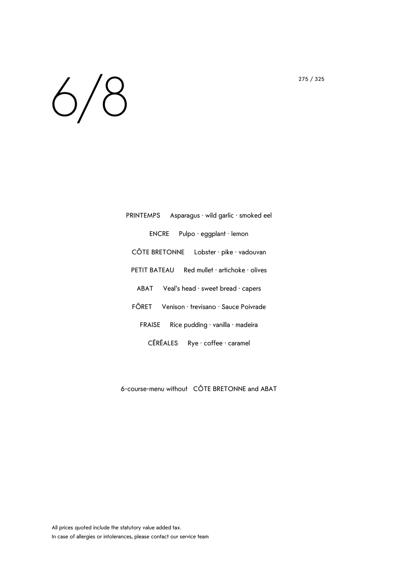## $6/8$

| Asparagus · wild garlic · smoked eel<br>PRINTEMPS           |
|-------------------------------------------------------------|
| Pulpo $\cdot$ eggplant $\cdot$ lemon<br><b>ENCRE</b>        |
| CÔTE BRETONNE<br>Lobster · pike · vadouvan                  |
| PETIT BATEAU<br>Red mullet $\cdot$ artichoke $\cdot$ olives |
| $ABAT$ Veal's head $\cdot$ sweet bread $\cdot$ capers       |
| FÔRET<br>Venison · trevisano · Sauce Poivrade               |
| Rice pudding $\cdot$ vanilla $\cdot$ madeira<br>FRAISE      |
| <b>CÉRÉALES</b><br>Rye · coffee · caramel                   |

6-course-menu without CÔTE BRETONNE and ABAT

All prices quoted include the statutory value added tax. In case of allergies or intolerances, please contact our service team